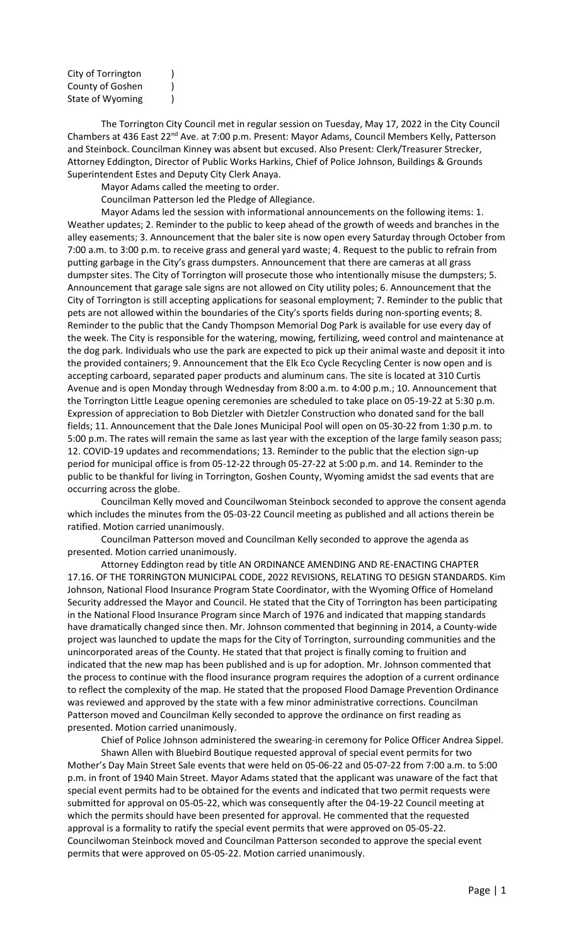| City of Torrington |  |
|--------------------|--|
| County of Goshen   |  |
| State of Wyoming   |  |

The Torrington City Council met in regular session on Tuesday, May 17, 2022 in the City Council Chambers at 436 East 22<sup>nd</sup> Ave. at 7:00 p.m. Present: Mayor Adams, Council Members Kelly, Patterson and Steinbock. Councilman Kinney was absent but excused. Also Present: Clerk/Treasurer Strecker, Attorney Eddington, Director of Public Works Harkins, Chief of Police Johnson, Buildings & Grounds Superintendent Estes and Deputy City Clerk Anaya.

Mayor Adams called the meeting to order.

Councilman Patterson led the Pledge of Allegiance.

Mayor Adams led the session with informational announcements on the following items: 1. Weather updates; 2. Reminder to the public to keep ahead of the growth of weeds and branches in the alley easements; 3. Announcement that the baler site is now open every Saturday through October from 7:00 a.m. to 3:00 p.m. to receive grass and general yard waste; 4. Request to the public to refrain from putting garbage in the City's grass dumpsters. Announcement that there are cameras at all grass dumpster sites. The City of Torrington will prosecute those who intentionally misuse the dumpsters; 5. Announcement that garage sale signs are not allowed on City utility poles; 6. Announcement that the City of Torrington is still accepting applications for seasonal employment; 7. Reminder to the public that pets are not allowed within the boundaries of the City's sports fields during non-sporting events; 8. Reminder to the public that the Candy Thompson Memorial Dog Park is available for use every day of the week. The City is responsible for the watering, mowing, fertilizing, weed control and maintenance at the dog park. Individuals who use the park are expected to pick up their animal waste and deposit it into the provided containers; 9. Announcement that the Elk Eco Cycle Recycling Center is now open and is accepting carboard, separated paper products and aluminum cans. The site is located at 310 Curtis Avenue and is open Monday through Wednesday from 8:00 a.m. to 4:00 p.m.; 10. Announcement that the Torrington Little League opening ceremonies are scheduled to take place on 05-19-22 at 5:30 p.m. Expression of appreciation to Bob Dietzler with Dietzler Construction who donated sand for the ball fields; 11. Announcement that the Dale Jones Municipal Pool will open on 05-30-22 from 1:30 p.m. to 5:00 p.m. The rates will remain the same as last year with the exception of the large family season pass; 12. COVID-19 updates and recommendations; 13. Reminder to the public that the election sign-up period for municipal office is from 05-12-22 through 05-27-22 at 5:00 p.m. and 14. Reminder to the public to be thankful for living in Torrington, Goshen County, Wyoming amidst the sad events that are occurring across the globe.

Councilman Kelly moved and Councilwoman Steinbock seconded to approve the consent agenda which includes the minutes from the 05-03-22 Council meeting as published and all actions therein be ratified. Motion carried unanimously.

Councilman Patterson moved and Councilman Kelly seconded to approve the agenda as presented. Motion carried unanimously.

Attorney Eddington read by title AN ORDINANCE AMENDING AND RE-ENACTING CHAPTER 17.16. OF THE TORRINGTON MUNICIPAL CODE, 2022 REVISIONS, RELATING TO DESIGN STANDARDS. Kim Johnson, National Flood Insurance Program State Coordinator, with the Wyoming Office of Homeland Security addressed the Mayor and Council. He stated that the City of Torrington has been participating in the National Flood Insurance Program since March of 1976 and indicated that mapping standards have dramatically changed since then. Mr. Johnson commented that beginning in 2014, a County-wide project was launched to update the maps for the City of Torrington, surrounding communities and the unincorporated areas of the County. He stated that that project is finally coming to fruition and indicated that the new map has been published and is up for adoption. Mr. Johnson commented that the process to continue with the flood insurance program requires the adoption of a current ordinance to reflect the complexity of the map. He stated that the proposed Flood Damage Prevention Ordinance was reviewed and approved by the state with a few minor administrative corrections. Councilman Patterson moved and Councilman Kelly seconded to approve the ordinance on first reading as presented. Motion carried unanimously.

Chief of Police Johnson administered the swearing-in ceremony for Police Officer Andrea Sippel.

Shawn Allen with Bluebird Boutique requested approval of special event permits for two Mother's Day Main Street Sale events that were held on 05-06-22 and 05-07-22 from 7:00 a.m. to 5:00 p.m. in front of 1940 Main Street. Mayor Adams stated that the applicant was unaware of the fact that special event permits had to be obtained for the events and indicated that two permit requests were submitted for approval on 05-05-22, which was consequently after the 04-19-22 Council meeting at which the permits should have been presented for approval. He commented that the requested approval is a formality to ratify the special event permits that were approved on 05-05-22. Councilwoman Steinbock moved and Councilman Patterson seconded to approve the special event permits that were approved on 05-05-22. Motion carried unanimously.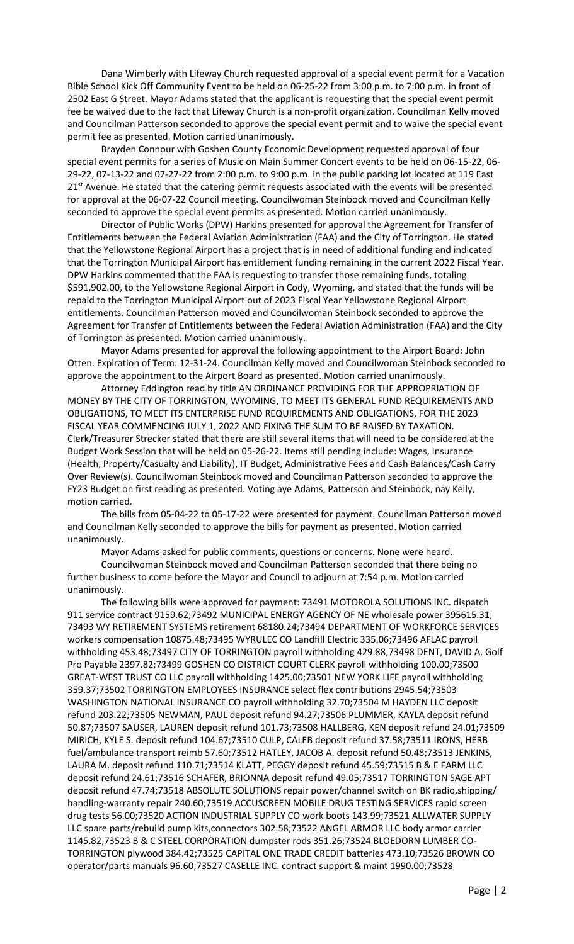Dana Wimberly with Lifeway Church requested approval of a special event permit for a Vacation Bible School Kick Off Community Event to be held on 06-25-22 from 3:00 p.m. to 7:00 p.m. in front of 2502 East G Street. Mayor Adams stated that the applicant is requesting that the special event permit fee be waived due to the fact that Lifeway Church is a non-profit organization. Councilman Kelly moved and Councilman Patterson seconded to approve the special event permit and to waive the special event permit fee as presented. Motion carried unanimously.

Brayden Connour with Goshen County Economic Development requested approval of four special event permits for a series of Music on Main Summer Concert events to be held on 06-15-22, 06- 29-22, 07-13-22 and 07-27-22 from 2:00 p.m. to 9:00 p.m. in the public parking lot located at 119 East 21<sup>st</sup> Avenue. He stated that the catering permit requests associated with the events will be presented for approval at the 06-07-22 Council meeting. Councilwoman Steinbock moved and Councilman Kelly seconded to approve the special event permits as presented. Motion carried unanimously.

Director of Public Works (DPW) Harkins presented for approval the Agreement for Transfer of Entitlements between the Federal Aviation Administration (FAA) and the City of Torrington. He stated that the Yellowstone Regional Airport has a project that is in need of additional funding and indicated that the Torrington Municipal Airport has entitlement funding remaining in the current 2022 Fiscal Year. DPW Harkins commented that the FAA is requesting to transfer those remaining funds, totaling \$591,902.00, to the Yellowstone Regional Airport in Cody, Wyoming, and stated that the funds will be repaid to the Torrington Municipal Airport out of 2023 Fiscal Year Yellowstone Regional Airport entitlements. Councilman Patterson moved and Councilwoman Steinbock seconded to approve the Agreement for Transfer of Entitlements between the Federal Aviation Administration (FAA) and the City of Torrington as presented. Motion carried unanimously.

Mayor Adams presented for approval the following appointment to the Airport Board: John Otten. Expiration of Term: 12-31-24. Councilman Kelly moved and Councilwoman Steinbock seconded to approve the appointment to the Airport Board as presented. Motion carried unanimously.

Attorney Eddington read by title AN ORDINANCE PROVIDING FOR THE APPROPRIATION OF MONEY BY THE CITY OF TORRINGTON, WYOMING, TO MEET ITS GENERAL FUND REQUIREMENTS AND OBLIGATIONS, TO MEET ITS ENTERPRISE FUND REQUIREMENTS AND OBLIGATIONS, FOR THE 2023 FISCAL YEAR COMMENCING JULY 1, 2022 AND FIXING THE SUM TO BE RAISED BY TAXATION. Clerk/Treasurer Strecker stated that there are still several items that will need to be considered at the Budget Work Session that will be held on 05-26-22. Items still pending include: Wages, Insurance (Health, Property/Casualty and Liability), IT Budget, Administrative Fees and Cash Balances/Cash Carry Over Review(s). Councilwoman Steinbock moved and Councilman Patterson seconded to approve the FY23 Budget on first reading as presented. Voting aye Adams, Patterson and Steinbock, nay Kelly, motion carried.

The bills from 05-04-22 to 05-17-22 were presented for payment. Councilman Patterson moved and Councilman Kelly seconded to approve the bills for payment as presented. Motion carried unanimously.

Mayor Adams asked for public comments, questions or concerns. None were heard.

Councilwoman Steinbock moved and Councilman Patterson seconded that there being no further business to come before the Mayor and Council to adjourn at 7:54 p.m. Motion carried unanimously.

The following bills were approved for payment: 73491 MOTOROLA SOLUTIONS INC. dispatch 911 service contract 9159.62;73492 MUNICIPAL ENERGY AGENCY OF NE wholesale power 395615.31; 73493 WY RETIREMENT SYSTEMS retirement 68180.24;73494 DEPARTMENT OF WORKFORCE SERVICES workers compensation 10875.48;73495 WYRULEC CO Landfill Electric 335.06;73496 AFLAC payroll withholding 453.48;73497 CITY OF TORRINGTON payroll withholding 429.88;73498 DENT, DAVID A. Golf Pro Payable 2397.82;73499 GOSHEN CO DISTRICT COURT CLERK payroll withholding 100.00;73500 GREAT-WEST TRUST CO LLC payroll withholding 1425.00;73501 NEW YORK LIFE payroll withholding 359.37;73502 TORRINGTON EMPLOYEES INSURANCE select flex contributions 2945.54;73503 WASHINGTON NATIONAL INSURANCE CO payroll withholding 32.70;73504 M HAYDEN LLC deposit refund 203.22;73505 NEWMAN, PAUL deposit refund 94.27;73506 PLUMMER, KAYLA deposit refund 50.87;73507 SAUSER, LAUREN deposit refund 101.73;73508 HALLBERG, KEN deposit refund 24.01;73509 MIRICH, KYLE S. deposit refund 104.67;73510 CULP, CALEB deposit refund 37.58;73511 IRONS, HERB fuel/ambulance transport reimb 57.60;73512 HATLEY, JACOB A. deposit refund 50.48;73513 JENKINS, LAURA M. deposit refund 110.71;73514 KLATT, PEGGY deposit refund 45.59;73515 B & E FARM LLC deposit refund 24.61;73516 SCHAFER, BRIONNA deposit refund 49.05;73517 TORRINGTON SAGE APT deposit refund 47.74;73518 ABSOLUTE SOLUTIONS repair power/channel switch on BK radio,shipping/ handling-warranty repair 240.60;73519 ACCUSCREEN MOBILE DRUG TESTING SERVICES rapid screen drug tests 56.00;73520 ACTION INDUSTRIAL SUPPLY CO work boots 143.99;73521 ALLWATER SUPPLY LLC spare parts/rebuild pump kits,connectors 302.58;73522 ANGEL ARMOR LLC body armor carrier 1145.82;73523 B & C STEEL CORPORATION dumpster rods 351.26;73524 BLOEDORN LUMBER CO-TORRINGTON plywood 384.42;73525 CAPITAL ONE TRADE CREDIT batteries 473.10;73526 BROWN CO operator/parts manuals 96.60;73527 CASELLE INC. contract support & maint 1990.00;73528